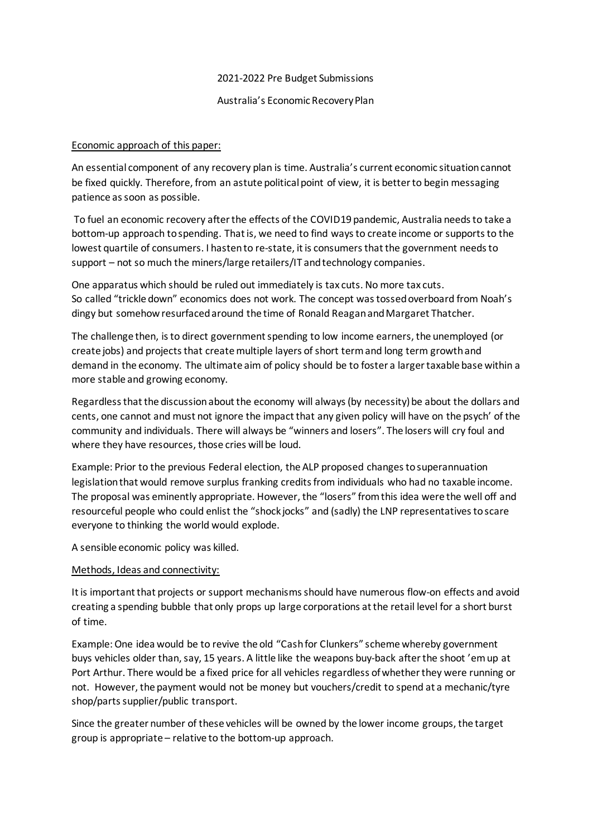#### 2021-2022 Pre Budget Submissions

### Australia's Economic Recovery Plan

## Economic approach of this paper:

An essential component of any recovery plan is time. Australia's current economic situation cannot be fixed quickly. Therefore, from an astute political point of view, it is better to begin messaging patience as soon as possible.

To fuel an economic recovery after the effects of the COVID19 pandemic, Australia needs to take a bottom-up approach to spending. That is, we need to find ways to create income or supports to the lowest quartile of consumers. I hasten to re-state, it is consumers that the government needs to support – not so much the miners/large retailers/IT and technology companies.

One apparatus which should be ruled out immediately is tax cuts. No more tax cuts. So called "trickle down" economics does not work. The concept was tossed overboard from Noah's dingy but somehow resurfaced around the time of Ronald Reagan and Margaret Thatcher.

The challenge then, is to direct government spending to low income earners, the unemployed (or create jobs) and projects that create multiple layers of short term and long term growth and demand in the economy. The ultimate aim of policy should be to foster a larger taxable base within a more stable and growing economy.

Regardless that the discussion about the economy will always (by necessity) be about the dollars and cents, one cannot and must not ignore the impact that any given policy will have on the psych' of the community and individuals. There will always be "winners and losers". The losers will cry foul and where they have resources, those cries will be loud.

Example: Prior to the previous Federal election, the ALP proposed changes to superannuation legislation that would remove surplus franking credits from individuals who had no taxable income. The proposal was eminently appropriate. However, the "losers" from this idea were the well off and resourceful people who could enlist the "shock jocks" and (sadly) the LNP representatives to scare everyone to thinking the world would explode.

A sensible economic policy was killed.

### Methods, Ideas and connectivity:

It is important that projects or support mechanisms should have numerous flow-on effects and avoid creating a spending bubble that only props up large corporations at the retail level for a short burst of time.

Example: One idea would be to revive the old "Cash for Clunkers" scheme whereby government buys vehicles older than, say, 15 years. A little like the weapons buy-back after the shoot 'emup at Port Arthur. There would be a fixed price for all vehicles regardless of whether they were running or not. However, the payment would not be money but vouchers/credit to spend at a mechanic/tyre shop/parts supplier/public transport.

Since the greater number of these vehicles will be owned by the lower income groups, the target group is appropriate – relative to the bottom-up approach.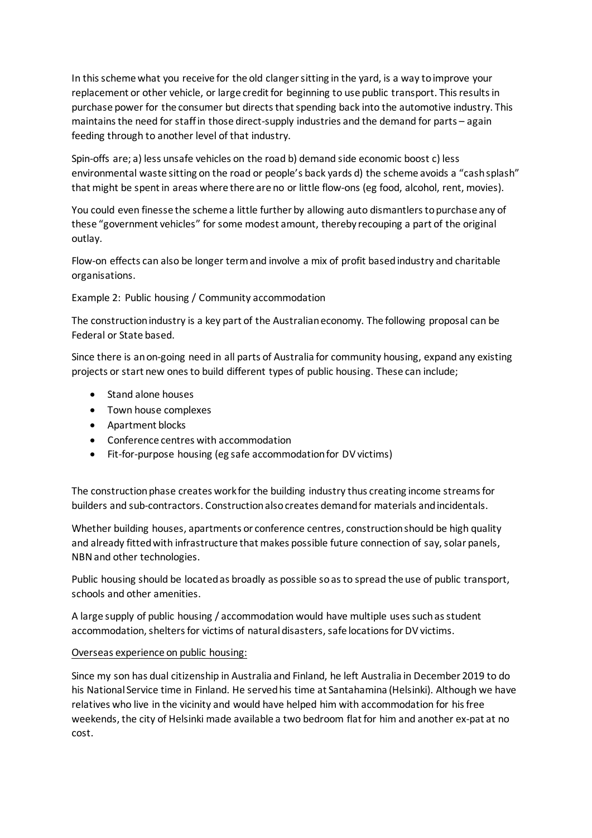In this scheme what you receive for the old clanger sitting in the yard, is a way to improve your replacement or other vehicle, or large credit for beginning to use public transport. This results in purchase power for the consumer but directs that spending back into the automotive industry. This maintains the need for staff in those direct-supply industries and the demand for parts – again feeding through to another level of that industry.

Spin-offs are; a) less unsafe vehicles on the road b) demand side economic boost c) less environmental waste sitting on the road or people's back yards d) the scheme avoids a "cash splash" that might be spent in areas where there are no or little flow-ons (eg food, alcohol, rent, movies).

You could even finesse the scheme a little further by allowing auto dismantlers to purchase any of these "government vehicles" for some modest amount, thereby recouping a part of the original outlay.

Flow-on effects can also be longer term and involve a mix of profit based industry and charitable organisations.

Example 2: Public housing / Community accommodation

The construction industry is a key part of the Australian economy. The following proposal can be Federal or State based.

Since there is an on-going need in all parts of Australia for community housing, expand any existing projects or start new ones to build different types of public housing. These can include;

- Stand alone houses
- Town house complexes
- Apartment blocks
- Conference centres with accommodation
- Fit-for-purpose housing (eg safe accommodation for DV victims)

The construction phase creates work for the building industry thus creating income streams for builders and sub-contractors. Construction also creates demand for materials and incidentals.

Whether building houses, apartments or conference centres, construction should be high quality and already fitted with infrastructure that makes possible future connection of say, solar panels, NBN and other technologies.

Public housing should be located as broadly as possible so as to spread the use of public transport, schools and other amenities.

A large supply of public housing / accommodation would have multiple uses such as student accommodation, shelters for victims of natural disasters, safe locations for DV victims.

### Overseas experience on public housing:

Since my son has dual citizenship in Australia and Finland, he left Australia in December 2019 to do his National Service time in Finland. He served his time at Santahamina (Helsinki). Although we have relatives who live in the vicinity and would have helped him with accommodation for his free weekends, the city of Helsinki made available a two bedroom flat for him and another ex-pat at no cost.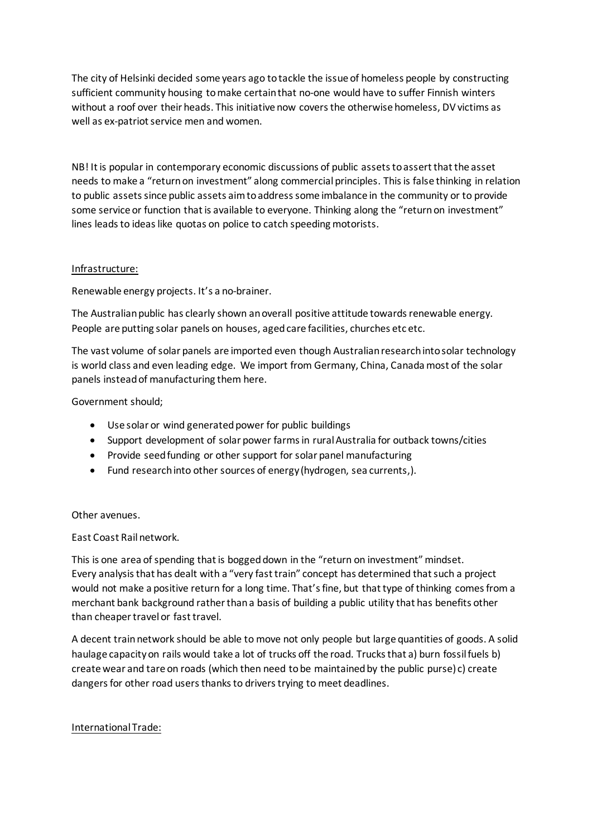The city of Helsinki decided some years ago to tackle the issue of homeless people by constructing sufficient community housing to make certain that no-one would have to suffer Finnish winters without a roof over their heads. This initiative now covers the otherwise homeless, DV victims as well as ex-patriot service men and women.

NB! It is popular in contemporary economic discussions of public assets to assert that the asset needs to make a "return on investment" along commercial principles. This is false thinking in relation to public assets since public assets aim to address some imbalance in the community or to provide some service or function that is available to everyone. Thinking along the "return on investment" lines leads to ideas like quotas on police to catch speeding motorists.

## Infrastructure:

Renewable energy projects. It's a no-brainer.

The Australian public has clearly shown an overall positive attitude towards renewable energy. People are putting solar panels on houses, aged care facilities, churches etc etc.

The vast volume of solar panels are imported even though Australian research into solar technology is world class and even leading edge. We import from Germany, China, Canada most of the solar panels instead of manufacturing them here.

Government should;

- Use solar or wind generated power for public buildings
- Support development of solar power farms in rural Australia for outback towns/cities
- Provide seed funding or other support for solar panel manufacturing
- Fund research into other sources of energy (hydrogen, sea currents,).

### Other avenues.

East Coast Rail network.

This is one area of spending that is bogged down in the "return on investment" mindset. Every analysis that has dealt with a "very fast train" concept has determined that such a project would not make a positive return for a long time. That's fine, but that type of thinking comes from a merchant bank background rather than a basis of building a public utility that has benefits other than cheaper travel or fast travel.

A decent train network should be able to move not only people but large quantities of goods. A solid haulage capacity on rails would take a lot of trucks off the road. Trucks that a) burn fossil fuels b) create wear and tare on roads (which then need to be maintained by the public purse) c) create dangers for other road users thanks to drivers trying to meet deadlines.

### International Trade: